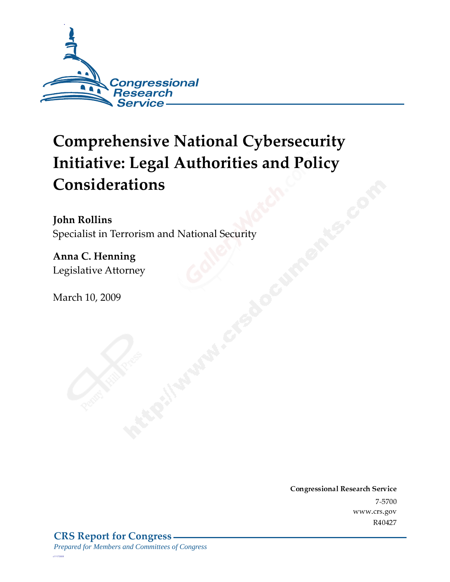

# **Comprehensive National Cybersecurity Initiative: Legal Authorities and Policy Considerations**

John Rollins Specialist in Terrorism and National Security

Anna C. Henning Legislative Attorney

March 10, 2009

Conglessional Research Service  $7 - 2700$ www.crs.gov R40427

*c11173008*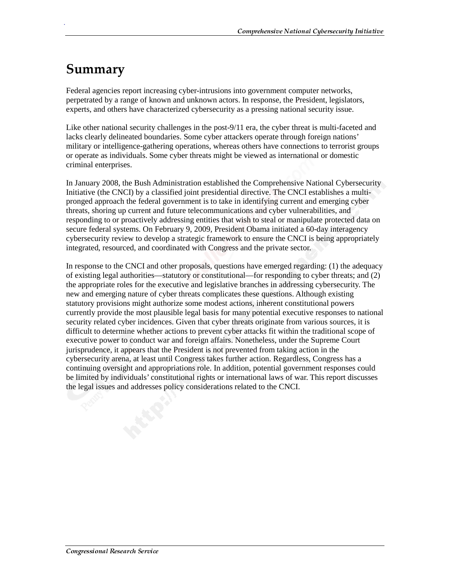# Summary

.

Federal agencies report increasing cyber-intrusions into government computer networks, perpetrated by a range of known and unknown actors. In response, the President, legislators, experts, and others have characterized cybersecurity as a pressing national security issue.

Like other national security challenges in the post-9/11 era, the cyber threat is multi-faceted and lacks clearly delineated boundaries. Some cyber attackers operate through foreign nations' military or intelligence-gathering operations, whereas others have connections to terrorist groups or operate as individuals. Some cyber threats might be viewed as international or domestic criminal enterprises.

In January 2008, the Bush Administration established the Comprehensive National Cybersecurity Initiative (the CNCI) by a classified joint presidential directive. The CNCI establishes a multipronged approach the federal government is to take in identifying current and emerging cyber threats, shoring up current and future telecommunications and cyber vulnerabilities, and responding to or proactively addressing entities that wish to steal or manipulate protected data on secure federal systems. On February 9, 2009, President Obama initiated a 60-day interagency cybersecurity review to develop a strategic framework to ensure the CNCI is being appropriately integrated, resourced, and coordinated with Congress and the private sector.

In response to the CNCI and other proposals, questions have emerged regarding: (1) the adequacy of existing legal authorities—statutory or constitutional—for responding to cyber threats; and (2) the appropriate roles for the executive and legislative branches in addressing cybersecurity. The new and emerging nature of cyber threats complicates these questions. Although existing statutory provisions might authorize some modest actions, inherent constitutional powers currently provide the most plausible legal basis for many potential executive responses to national security related cyber incidences. Given that cyber threats originate from various sources, it is difficult to determine whether actions to prevent cyber attacks fit within the traditional scope of executive power to conduct war and foreign affairs. Nonetheless, under the Supreme Court jurisprudence, it appears that the President is not prevented from taking action in the cybersecurity arena, at least until Congress takes further action. Regardless, Congress has a continuing oversight and appropriations role. In addition, potential government responses could be limited by individuals' constitutional rights or international laws of war. This report discusses the legal issues and addresses policy considerations related to the CNCI.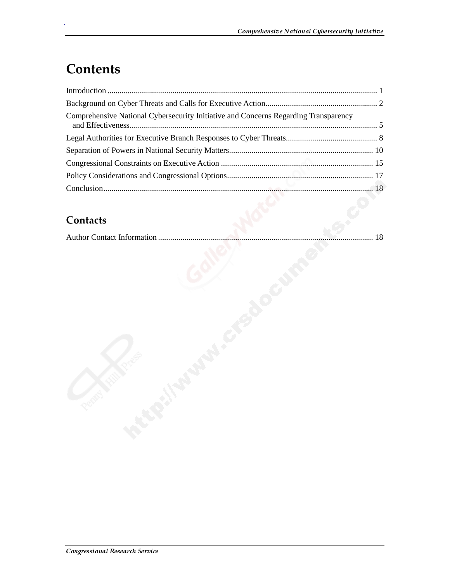# **Contents**

.

| Comprehensive National Cybersecurity Initiative and Concerns Regarding Transparency |  |
|-------------------------------------------------------------------------------------|--|
|                                                                                     |  |
|                                                                                     |  |
|                                                                                     |  |
|                                                                                     |  |
|                                                                                     |  |

#### **Contacts**

|--|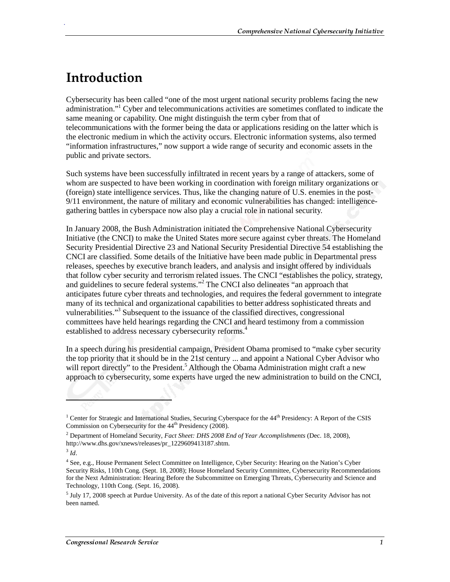#### <u>Introduction</u>

.

Cybersecurity has been called "one of the most urgent national security problems facing the new administration."<sup>1</sup> Cyber and telecommunications activities are sometimes conflated to indicate the same meaning or capability. One might distinguish the term cyber from that of telecommunications with the former being the data or applications residing on the latter which is the electronic medium in which the activity occurs. Electronic information systems, also termed "information infrastructures," now support a wide range of security and economic assets in the public and private sectors.

Such systems have been successfully infiltrated in recent years by a range of attackers, some of whom are suspected to have been working in coordination with foreign military organizations or (foreign) state intelligence services. Thus, like the changing nature of U.S. enemies in the post-9/11 environment, the nature of military and economic vulnerabilities has changed: intelligencegathering battles in cyberspace now also play a crucial role in national security.

In January 2008, the Bush Administration initiated the Comprehensive National Cybersecurity Initiative (the CNCI) to make the United States more secure against cyber threats. The Homeland Security Presidential Directive 23 and National Security Presidential Directive 54 establishing the CNCI are classified. Some details of the Initiative have been made public in Departmental press releases, speeches by executive branch leaders, and analysis and insight offered by individuals that follow cyber security and terrorism related issues. The CNCI "establishes the policy, strategy, and guidelines to secure federal systems."<sup>2</sup> The CNCI also delineates "an approach that anticipates future cyber threats and technologies, and requires the federal government to integrate many of its technical and organizational capabilities to better address sophisticated threats and vulnerabilities."<sup>3</sup> Subsequent to the issuance of the classified directives, congressional committees have held hearings regarding the CNCI and heard testimony from a commission established to address necessary cybersecurity reforms.<sup>4</sup>

In a speech during his presidential campaign, President Obama promised to "make cyber security the top priority that it should be in the 21st century ... and appoint a National Cyber Advisor who will report directly" to the President.<sup>5</sup> Although the Obama Administration might craft a new approach to cybersecurity, some experts have urged the new administration to build on the CNCI,

 $\overline{a}$ 

<sup>&</sup>lt;sup>1</sup> Center for Strategic and International Studies, Securing Cyberspace for the  $44<sup>th</sup>$  Presidency: A Report of the CSIS Commission on Cybersecurity for the 44<sup>th</sup> Presidency (2008).

<sup>2</sup> Department of Homeland Security, *Fact Sheet: DHS 2008 End of Year Accomplishments* (Dec. 18, 2008), http://www.dhs.gov/xnews/releases/pr\_1229609413187.shtm.

 $3$  *Id.* 

<sup>&</sup>lt;sup>4</sup> See, e.g., House Permanent Select Committee on Intelligence, Cyber Security: Hearing on the Nation's Cyber Security Risks, 110th Cong. (Sept. 18, 2008); House Homeland Security Committee, Cybersecurity Recommendations for the Next Administration: Hearing Before the Subcommittee on Emerging Threats, Cybersecurity and Science and Technology, 110th Cong. (Sept. 16, 2008).

<sup>5</sup> July 17, 2008 speech at Purdue University. As of the date of this report a national Cyber Security Advisor has not been named.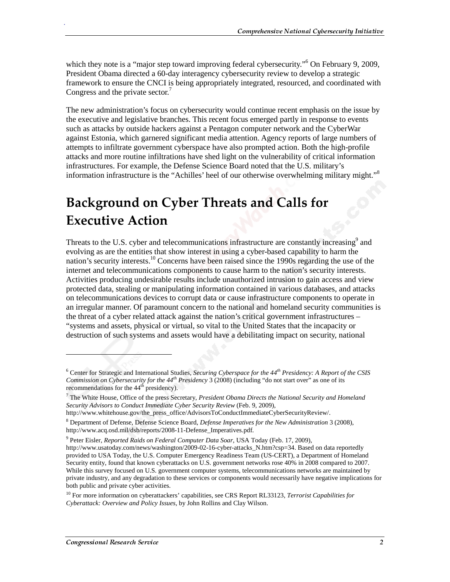which they note is a "major step toward improving federal cybersecurity."<sup>6</sup> On February 9, 2009, President Obama directed a 60-day interagency cybersecurity review to develop a strategic framework to ensure the CNCI is being appropriately integrated, resourced, and coordinated with Congress and the private sector.<sup>7</sup>

The new administration's focus on cybersecurity would continue recent emphasis on the issue by the executive and legislative branches. This recent focus emerged partly in response to events such as attacks by outside hackers against a Pentagon computer network and the CyberWar against Estonia, which garnered significant media attention. Agency reports of large numbers of attempts to infiltrate government cyberspace have also prompted action. Both the high-profile attacks and more routine infiltrations have shed light on the vulnerability of critical information infrastructures. For example, the Defense Science Board noted that the U.S. military's information infrastructure is the "Achilles' heel of our otherwise overwhelming military might."<sup>8</sup>

# **Background on Cyber Threats and Calls for Executive Action**

Threats to the U.S. cyber and telecommunications infrastructure are constantly increasing<sup>9</sup> and evolving as are the entities that show interest in using a cyber-based capability to harm the nation's security interests.10 Concerns have been raised since the 1990s regarding the use of the internet and telecommunications components to cause harm to the nation's security interests. Activities producing undesirable results include unauthorized intrusion to gain access and view protected data, stealing or manipulating information contained in various databases, and attacks on telecommunications devices to corrupt data or cause infrastructure components to operate in an irregular manner. Of paramount concern to the national and homeland security communities is the threat of a cyber related attack against the nation's critical government infrastructures – "systems and assets, physical or virtual, so vital to the United States that the incapacity or destruction of such systems and assets would have a debilitating impact on security, national

 $\overline{a}$ 

<sup>&</sup>lt;sup>6</sup> Center for Strategic and International Studies, *Securing Cyberspace for the 44<sup>th</sup> Presidency: A Report of the CSIS Commission on Cybersecurity for the 44th Presidency* 3 (2008) (including "do not start over" as one of its recommendations for the 44<sup>th</sup> presidency).

<sup>7</sup> The White House, Office of the press Secretary, *President Obama Directs the National Security and Homeland Security Advisors to Conduct Immediate Cyber Security Review* (Feb. 9, 2009),

http://www.whitehouse.gov/the\_press\_office/AdvisorsToConductImmediateCyberSecurityReview/.

<sup>8</sup> Department of Defense, Defense Science Board, *Defense Imperatives for the New Administration* 3 (2008), http://www.acq.osd.mil/dsb/reports/2008-11-Defense\_Imperatives.pdf.

<sup>9</sup> Peter Eisler, *Reported Raids on Federal Computer Data Soar*, USA Today (Feb. 17, 2009), http://www.usatoday.com/news/washington/2009-02-16-cyber-attacks\_N.htm?csp=34. Based on data reportedly provided to USA Today, the U.S. Computer Emergency Readiness Team (US-CERT), a Department of Homeland Security entity, found that known cyberattacks on U.S. government networks rose 40% in 2008 compared to 2007. While this survey focused on U.S. government computer systems, telecommunications networks are maintained by private industry, and any degradation to these services or components would necessarily have negative implications for both public and private cyber activities.

<sup>10</sup> For more information on cyberattackers' capabilities, see CRS Report RL33123, *Terrorist Capabilities for Cyberattack: Overview and Policy Issues*, by John Rollins and Clay Wilson.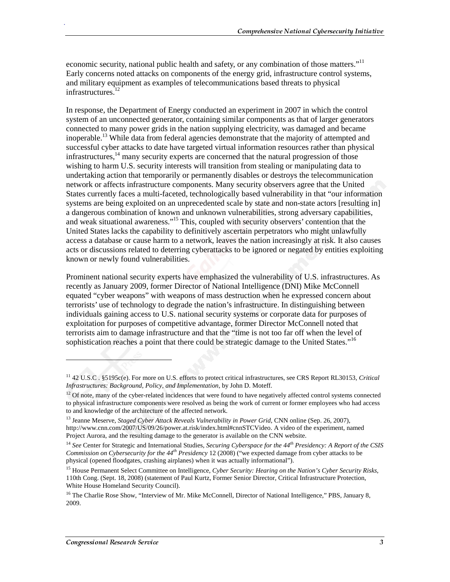economic security, national public health and safety, or any combination of those matters."<sup>11</sup> Early concerns noted attacks on components of the energy grid, infrastructure control systems, and military equipment as examples of telecommunications based threats to physical infrastructures.<sup>12</sup>

In response, the Department of Energy conducted an experiment in 2007 in which the control system of an unconnected generator, containing similar components as that of larger generators connected to many power grids in the nation supplying electricity, was damaged and became inoperable.<sup>13</sup> While data from federal agencies demonstrate that the majority of attempted and successful cyber attacks to date have targeted virtual information resources rather than physical infrastructures,<sup>14</sup> many security experts are concerned that the natural progression of those wishing to harm U.S. security interests will transition from stealing or manipulating data to undertaking action that temporarily or permanently disables or destroys the telecommunication network or affects infrastructure components. Many security observers agree that the United States currently faces a multi-faceted, technologically based vulnerability in that "our information systems are being exploited on an unprecedented scale by state and non-state actors [resulting in] a dangerous combination of known and unknown vulnerabilities, strong adversary capabilities, and weak situational awareness."15 This, coupled with security observers' contention that the United States lacks the capability to definitively ascertain perpetrators who might unlawfully access a database or cause harm to a network, leaves the nation increasingly at risk. It also causes acts or discussions related to deterring cyberattacks to be ignored or negated by entities exploiting known or newly found vulnerabilities.

Prominent national security experts have emphasized the vulnerability of U.S. infrastructures. As recently as January 2009, former Director of National Intelligence (DNI) Mike McConnell equated "cyber weapons" with weapons of mass destruction when he expressed concern about terrorists' use of technology to degrade the nation's infrastructure. In distinguishing between individuals gaining access to U.S. national security systems or corporate data for purposes of exploitation for purposes of competitive advantage, former Director McConnell noted that terrorists aim to damage infrastructure and that the "time is not too far off when the level of sophistication reaches a point that there could be strategic damage to the United States."<sup>16</sup>

 $\overline{a}$ 

<sup>11 42</sup> U.S.C . §5195c(e). For more on U.S. efforts to protect critical infrastructures, see CRS Report RL30153, *Critical Infrastructures: Background, Policy, and Implementation*, by John D. Moteff.

 $12$  Of note, many of the cyber-related incidences that were found to have negatively affected control systems connected to physical infrastructure components were resolved as being the work of current or former employees who had access to and knowledge of the architecture of the affected network.

<sup>&</sup>lt;sup>13</sup> Jeanne Meserve, *Staged Cyber Attack Reveals Vulnerability in Power Grid*, CNN online (Sep. 26, 2007), http://www.cnn.com/2007/US/09/26/power.at.risk/index.html#cnnSTCVideo. A video of the experiment, named Project Aurora, and the resulting damage to the generator is available on the CNN website.

<sup>14</sup> *See* Center for Strategic and International Studies, *Securing Cyberspace for the 44th Presidency: A Report of the CSIS Commission on Cybersecurity for the 44th Presidency* 12 (2008) ("we expected damage from cyber attacks to be physical (opened floodgates, crashing airplanes) when it was actually informational").

<sup>15</sup> House Permanent Select Committee on Intelligence, *Cyber Security: Hearing on the Nation's Cyber Security Risks*, 110th Cong. (Sept. 18, 2008) (statement of Paul Kurtz, Former Senior Director, Critical Infrastructure Protection, White House Homeland Security Council).

<sup>&</sup>lt;sup>16</sup> The Charlie Rose Show, "Interview of Mr. Mike McConnell, Director of National Intelligence," PBS, January 8, 2009.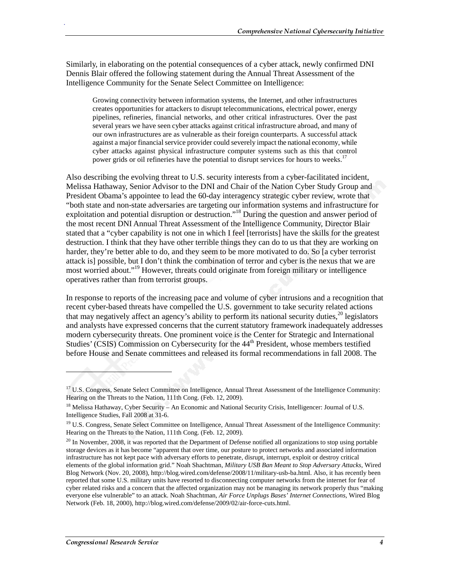Similarly, in elaborating on the potential consequences of a cyber attack, newly confirmed DNI Dennis Blair offered the following statement during the Annual Threat Assessment of the Intelligence Community for the Senate Select Committee on Intelligence:

Growing connectivity between information systems, the Internet, and other infrastructures creates opportunities for attackers to disrupt telecommunications, electrical power, energy pipelines, refineries, financial networks, and other critical infrastructures. Over the past several years we have seen cyber attacks against critical infrastructure abroad, and many of our own infrastructures are as vulnerable as their foreign counterparts. A successful attack against a major financial service provider could severely impact the national economy, while cyber attacks against physical infrastructure computer systems such as this that control power grids or oil refineries have the potential to disrupt services for hours to weeks.<sup>17</sup>

Also describing the evolving threat to U.S. security interests from a cyber-facilitated incident, Melissa Hathaway, Senior Advisor to the DNI and Chair of the Nation Cyber Study Group and President Obama's appointee to lead the 60-day interagency strategic cyber review, wrote that "both state and non-state adversaries are targeting our information systems and infrastructure for exploitation and potential disruption or destruction."18 During the question and answer period of the most recent DNI Annual Threat Assessment of the Intelligence Community, Director Blair stated that a "cyber capability is not one in which I feel [terrorists] have the skills for the greatest destruction. I think that they have other terrible things they can do to us that they are working on harder, they're better able to do, and they seem to be more motivated to do. So [a cyber terrorist attack is] possible, but I don't think the combination of terror and cyber is the nexus that we are most worried about."19 However, threats could originate from foreign military or intelligence operatives rather than from terrorist groups.

In response to reports of the increasing pace and volume of cyber intrusions and a recognition that recent cyber-based threats have compelled the U.S. government to take security related actions that may negatively affect an agency's ability to perform its national security duties,<sup>20</sup> legislators and analysts have expressed concerns that the current statutory framework inadequately addresses modern cybersecurity threats. One prominent voice is the Center for Strategic and International Studies' (CSIS) Commission on Cybersecurity for the 44<sup>th</sup> President, whose members testified before House and Senate committees and released its formal recommendations in fall 2008. The

 $\overline{1}$ 

<sup>&</sup>lt;sup>17</sup> U.S. Congress, Senate Select Committee on Intelligence, Annual Threat Assessment of the Intelligence Community: Hearing on the Threats to the Nation, 111th Cong. (Feb. 12, 2009).

<sup>&</sup>lt;sup>18</sup> Melissa Hathaway, Cyber Security – An Economic and National Security Crisis, Intelligencer: Journal of U.S. Intelligence Studies, Fall 2008 at 31-6.

<sup>&</sup>lt;sup>19</sup> U.S. Congress, Senate Select Committee on Intelligence, Annual Threat Assessment of the Intelligence Community: Hearing on the Threats to the Nation, 111th Cong. (Feb. 12, 2009).

<sup>&</sup>lt;sup>20</sup> In November, 2008, it was reported that the Department of Defense notified all organizations to stop using portable storage devices as it has become "apparent that over time, our posture to protect networks and associated information infrastructure has not kept pace with adversary efforts to penetrate, disrupt, interrupt, exploit or destroy critical elements of the global information grid." Noah Shachtman, *Military USB Ban Meant to Stop Adversary Attacks*, Wired Blog Network (Nov. 20, 2008), http://blog.wired.com/defense/2008/11/military-usb-ba.html. Also, it has recently been reported that some U.S. military units have resorted to disconnecting computer networks from the internet for fear of cyber related risks and a concern that the affected organization may not be managing its network properly thus "making everyone else vulnerable" to an attack. Noah Shachtman, *Air Force Unplugs Bases' Internet Connections*, Wired Blog Network (Feb. 18, 2000), http://blog.wired.com/defense/2009/02/air-force-cuts.html.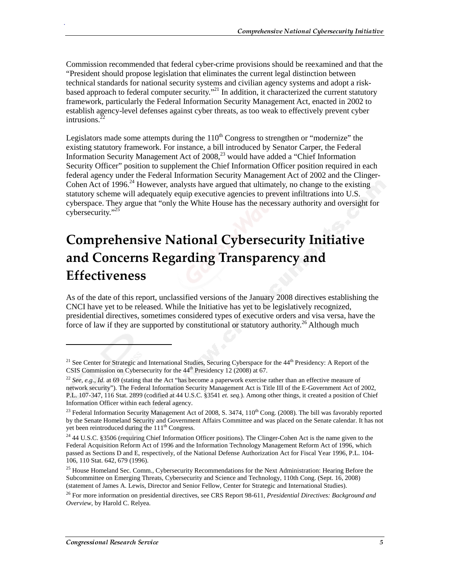Commission recommended that federal cyber-crime provisions should be reexamined and that the "President should propose legislation that eliminates the current legal distinction between technical standards for national security systems and civilian agency systems and adopt a riskbased approach to federal computer security."<sup>21</sup> In addition, it characterized the current statutory framework, particularly the Federal Information Security Management Act, enacted in 2002 to establish agency-level defenses against cyber threats, as too weak to effectively prevent cyber intrusions.<sup>22</sup>

Legislators made some attempts during the  $110<sup>th</sup>$  Congress to strengthen or "modernize" the existing statutory framework. For instance, a bill introduced by Senator Carper, the Federal Information Security Management Act of  $2008<sup>23</sup>$  would have added a "Chief Information" Security Officer" position to supplement the Chief Information Officer position required in each federal agency under the Federal Information Security Management Act of 2002 and the Clinger-Cohen Act of 1996.<sup>24</sup> However, analysts have argued that ultimately, no change to the existing statutory scheme will adequately equip executive agencies to prevent infiltrations into U.S. cyberspace. They argue that "only the White House has the necessary authority and oversight for cybersecurity."25

# **Comprehensive National Cybersecurity Initiative** and Concerns Regarding Transparency and **Effectiveness**

As of the date of this report, unclassified versions of the January 2008 directives establishing the CNCI have yet to be released. While the Initiative has yet to be legislatively recognized, presidential directives, sometimes considered types of executive orders and visa versa, have the force of law if they are supported by constitutional or statutory authority.<sup>26</sup> Although much

 $\overline{a}$ 

<sup>&</sup>lt;sup>21</sup> See Center for Strategic and International Studies, Securing Cyberspace for the  $44<sup>th</sup>$  Presidency: A Report of the CSIS Commission on Cybersecurity for the 44<sup>th</sup> Presidency 12 (2008) at 67.

<sup>&</sup>lt;sup>22</sup> *See, e.g., Id.* at 69 (stating that the Act "has become a paperwork exercise rather than an effective measure of network security"). The Federal Information Security Management Act is Title III of the E-Government Act of 2002, P.L. 107-347, 116 Stat. 2899 (codified at 44 U.S.C. §3541 *et. seq.*). Among other things, it created a position of Chief Information Officer within each federal agency.

 $^{23}$  Federal Information Security Management Act of 2008, S. 3474, 110<sup>th</sup> Cong. (2008). The bill was favorably reported by the Senate Homeland Security and Government Affairs Committee and was placed on the Senate calendar. It has not yet been reintroduced during the 111<sup>th</sup> Congress.

<sup>&</sup>lt;sup>24</sup> 44 U.S.C. §3506 (requiring Chief Information Officer positions). The Clinger-Cohen Act is the name given to the Federal Acquisition Reform Act of 1996 and the Information Technology Management Reform Act of 1996, which passed as Sections D and E, respectively, of the National Defense Authorization Act for Fiscal Year 1996, P.L. 104- 106, 110 Stat. 642, 679 (1996).

<sup>&</sup>lt;sup>25</sup> House Homeland Sec. Comm., Cybersecurity Recommendations for the Next Administration: Hearing Before the Subcommittee on Emerging Threats, Cybersecurity and Science and Technology, 110th Cong. (Sept. 16, 2008) (statement of James A. Lewis, Director and Senior Fellow, Center for Strategic and International Studies).

<sup>26</sup> For more information on presidential directives, see CRS Report 98-611, *Presidential Directives: Background and Overview*, by Harold C. Relyea.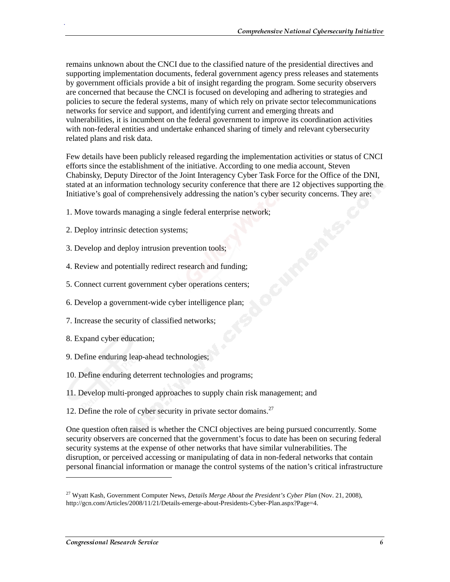remains unknown about the CNCI due to the classified nature of the presidential directives and supporting implementation documents, federal government agency press releases and statements by government officials provide a bit of insight regarding the program. Some security observers are concerned that because the CNCI is focused on developing and adhering to strategies and policies to secure the federal systems, many of which rely on private sector telecommunications networks for service and support, and identifying current and emerging threats and vulnerabilities, it is incumbent on the federal government to improve its coordination activities with non-federal entities and undertake enhanced sharing of timely and relevant cybersecurity related plans and risk data.

Few details have been publicly released regarding the implementation activities or status of CNCI efforts since the establishment of the initiative. According to one media account, Steven Chabinsky, Deputy Director of the Joint Interagency Cyber Task Force for the Office of the DNI, stated at an information technology security conference that there are 12 objectives supporting the Initiative's goal of comprehensively addressing the nation's cyber security concerns. They are:

- 1. Move towards managing a single federal enterprise network;
- 2. Deploy intrinsic detection systems;
- 3. Develop and deploy intrusion prevention tools;
- 4. Review and potentially redirect research and funding;
- 5. Connect current government cyber operations centers;
- 6. Develop a government-wide cyber intelligence plan;
- 7. Increase the security of classified networks;
- 8. Expand cyber education;
- 9. Define enduring leap-ahead technologies;
- 10. Define enduring deterrent technologies and programs;
- 11. Develop multi-pronged approaches to supply chain risk management; and
- 12. Define the role of cyber security in private sector domains.<sup>27</sup>

One question often raised is whether the CNCI objectives are being pursued concurrently. Some security observers are concerned that the government's focus to date has been on securing federal security systems at the expense of other networks that have similar vulnerabilities. The disruption, or perceived accessing or manipulating of data in non-federal networks that contain personal financial information or manage the control systems of the nation's critical infrastructure

 $\overline{a}$ 

<sup>27</sup> Wyatt Kash, Government Computer News, *Details Merge About the President's Cyber Plan* (Nov. 21, 2008), http://gcn.com/Articles/2008/11/21/Details-emerge-about-Presidents-Cyber-Plan.aspx?Page=4.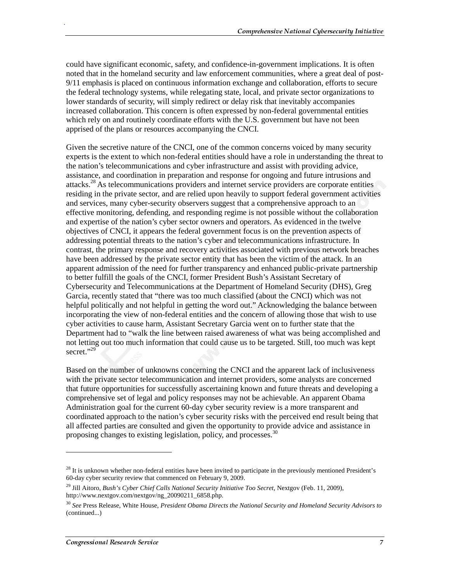could have significant economic, safety, and confidence-in-government implications. It is often noted that in the homeland security and law enforcement communities, where a great deal of post-9/11 emphasis is placed on continuous information exchange and collaboration, efforts to secure the federal technology systems, while relegating state, local, and private sector organizations to lower standards of security, will simply redirect or delay risk that inevitably accompanies increased collaboration. This concern is often expressed by non-federal governmental entities which rely on and routinely coordinate efforts with the U.S. government but have not been apprised of the plans or resources accompanying the CNCI.

Given the secretive nature of the CNCI, one of the common concerns voiced by many security experts is the extent to which non-federal entities should have a role in understanding the threat to the nation's telecommunications and cyber infrastructure and assist with providing advice, assistance, and coordination in preparation and response for ongoing and future intrusions and attacks.<sup>28</sup> As telecommunications providers and internet service providers are corporate entities residing in the private sector, and are relied upon heavily to support federal government activities and services, many cyber-security observers suggest that a comprehensive approach to an effective monitoring, defending, and responding regime is not possible without the collaboration and expertise of the nation's cyber sector owners and operators. As evidenced in the twelve objectives of CNCI, it appears the federal government focus is on the prevention aspects of addressing potential threats to the nation's cyber and telecommunications infrastructure. In contrast, the primary response and recovery activities associated with previous network breaches have been addressed by the private sector entity that has been the victim of the attack. In an apparent admission of the need for further transparency and enhanced public-private partnership to better fulfill the goals of the CNCI, former President Bush's Assistant Secretary of Cybersecurity and Telecommunications at the Department of Homeland Security (DHS), Greg Garcia, recently stated that "there was too much classified (about the CNCI) which was not helpful politically and not helpful in getting the word out." Acknowledging the balance between incorporating the view of non-federal entities and the concern of allowing those that wish to use cyber activities to cause harm, Assistant Secretary Garcia went on to further state that the Department had to "walk the line between raised awareness of what was being accomplished and not letting out too much information that could cause us to be targeted. Still, too much was kept secret."29

Based on the number of unknowns concerning the CNCI and the apparent lack of inclusiveness with the private sector telecommunication and internet providers, some analysts are concerned that future opportunities for successfully ascertaining known and future threats and developing a comprehensive set of legal and policy responses may not be achievable. An apparent Obama Administration goal for the current 60-day cyber security review is a more transparent and coordinated approach to the nation's cyber security risks with the perceived end result being that all affected parties are consulted and given the opportunity to provide advice and assistance in proposing changes to existing legislation, policy, and processes.<sup>30</sup>

 $\overline{a}$ 

 $^{28}$  It is unknown whether non-federal entities have been invited to participate in the previously mentioned President's 60-day cyber security review that commenced on February 9, 2009.

<sup>29</sup> Jill Aitoro, *Bush's Cyber Chief Calls National Security Initiative Too Secret*, Nextgov (Feb. 11, 2009), http://www.nextgov.com/nextgov/ng\_20090211\_6858.php.

<sup>30</sup> *See* Press Release, White House, *President Obama Directs the National Security and Homeland Security Advisors to*  (continued...)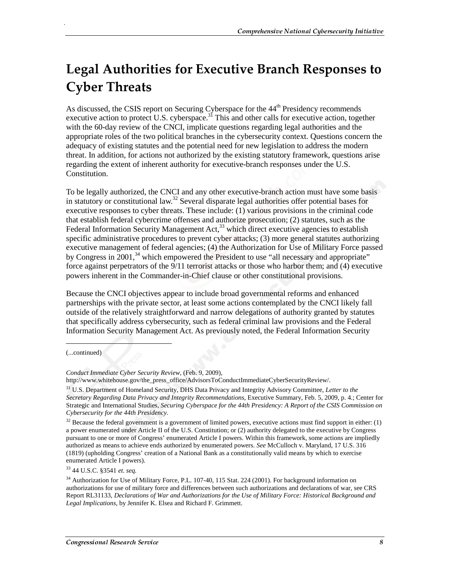# Legal Authorities for Executive Branch Responses to **Cyber Threats**

As discussed, the CSIS report on Securing Cyberspace for the  $44<sup>th</sup>$  Presidency recommends executive action to protect U.S. cyberspace.<sup>31</sup> This and other calls for executive action, together with the 60-day review of the CNCI, implicate questions regarding legal authorities and the appropriate roles of the two political branches in the cybersecurity context. Questions concern the adequacy of existing statutes and the potential need for new legislation to address the modern threat. In addition, for actions not authorized by the existing statutory framework, questions arise regarding the extent of inherent authority for executive-branch responses under the U.S. Constitution.

To be legally authorized, the CNCI and any other executive-branch action must have some basis in statutory or constitutional law.<sup>32</sup> Several disparate legal authorities offer potential bases for executive responses to cyber threats. These include: (1) various provisions in the criminal code that establish federal cybercrime offenses and authorize prosecution; (2) statutes, such as the Federal Information Security Management Act, $33$  which direct executive agencies to establish specific administrative procedures to prevent cyber attacks; (3) more general statutes authorizing executive management of federal agencies; (4) the Authorization for Use of Military Force passed by Congress in  $2001<sup>34</sup>$  which empowered the President to use "all necessary and appropriate" force against perpetrators of the 9/11 terrorist attacks or those who harbor them; and (4) executive powers inherent in the Commander-in-Chief clause or other constitutional provisions.

Because the CNCI objectives appear to include broad governmental reforms and enhanced partnerships with the private sector, at least some actions contemplated by the CNCI likely fall outside of the relatively straightforward and narrow delegations of authority granted by statutes that specifically address cybersecurity, such as federal criminal law provisions and the Federal Information Security Management Act. As previously noted, the Federal Information Security

 $\overline{a}$ 

.

33 44 U.S.C. §3541 *et. seq.*

<sup>(...</sup>continued)

*Conduct Immediate Cyber Security Review*, (Feb. 9, 2009),

http://www.whitehouse.gov/the\_press\_office/AdvisorsToConductImmediateCyberSecurityReview/.

<sup>31</sup> U.S. Department of Homeland Security, DHS Data Privacy and Integrity Advisory Committee, *Letter to the Secretary Regarding Data Privacy and Integrity Recommendations*, Executive Summary, Feb. 5, 2009, p. 4.; Center for Strategic and International Studies, *Securing Cyberspace for the 44th Presidency: A Report of the CSIS Commission on Cybersecurity for the 44th Presidency*.

 $32$  Because the federal government is a government of limited powers, executive actions must find support in either: (1) a power enumerated under Article II of the U.S. Constitution; or (2) authority delegated to the executive by Congress pursuant to one or more of Congress' enumerated Article I powers. Within this framework, some actions are impliedly authorized as means to achieve ends authorized by enumerated powers. *See* McCulloch v. Maryland, 17 U.S. 316 (1819) (upholding Congress' creation of a National Bank as a constitutionally valid means by which to exercise enumerated Article I powers).

<sup>&</sup>lt;sup>34</sup> Authorization for Use of Military Force, P.L. 107-40, 115 Stat. 224 (2001). For background information on authorizations for use of military force and differences between such authorizations and declarations of war, see CRS Report RL31133, *Declarations of War and Authorizations for the Use of Military Force: Historical Background and Legal Implications*, by Jennifer K. Elsea and Richard F. Grimmett.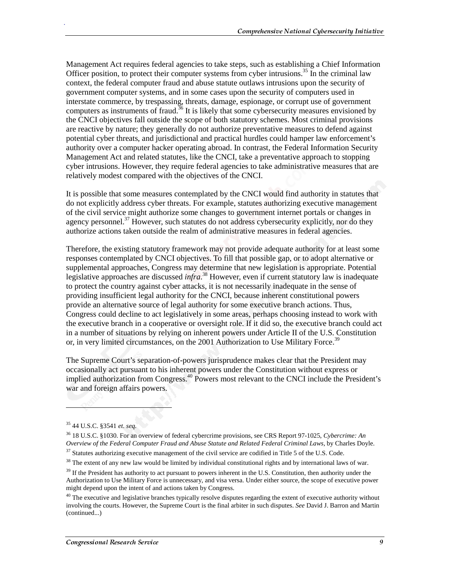Management Act requires federal agencies to take steps, such as establishing a Chief Information Officer position, to protect their computer systems from cyber intrusions.<sup>35</sup> In the criminal law context, the federal computer fraud and abuse statute outlaws intrusions upon the security of government computer systems, and in some cases upon the security of computers used in interstate commerce, by trespassing, threats, damage, espionage, or corrupt use of government computers as instruments of fraud.<sup>36</sup> It is likely that some cybersecurity measures envisioned by the CNCI objectives fall outside the scope of both statutory schemes. Most criminal provisions are reactive by nature; they generally do not authorize preventative measures to defend against potential cyber threats, and jurisdictional and practical hurdles could hamper law enforcement's authority over a computer hacker operating abroad. In contrast, the Federal Information Security Management Act and related statutes, like the CNCI, take a preventative approach to stopping cyber intrusions. However, they require federal agencies to take administrative measures that are relatively modest compared with the objectives of the CNCI.

It is possible that some measures contemplated by the CNCI would find authority in statutes that do not explicitly address cyber threats. For example, statutes authorizing executive management of the civil service might authorize some changes to government internet portals or changes in agency personnel.<sup>37</sup> However, such statutes do not address cybersecurity explicitly, nor do they authorize actions taken outside the realm of administrative measures in federal agencies.

Therefore, the existing statutory framework may not provide adequate authority for at least some responses contemplated by CNCI objectives. To fill that possible gap, or to adopt alternative or supplemental approaches, Congress may determine that new legislation is appropriate. Potential legislative approaches are discussed *infra*. 38 However, even if current statutory law is inadequate to protect the country against cyber attacks, it is not necessarily inadequate in the sense of providing insufficient legal authority for the CNCI, because inherent constitutional powers provide an alternative source of legal authority for some executive branch actions. Thus, Congress could decline to act legislatively in some areas, perhaps choosing instead to work with the executive branch in a cooperative or oversight role. If it did so, the executive branch could act in a number of situations by relying on inherent powers under Article II of the U.S. Constitution or, in very limited circumstances, on the 2001 Authorization to Use Military Force.<sup>39</sup>

The Supreme Court's separation-of-powers jurisprudence makes clear that the President may occasionally act pursuant to his inherent powers under the Constitution without express or implied authorization from Congress.<sup>40</sup> Powers most relevant to the CNCI include the President's war and foreign affairs powers.

 $\overline{a}$ 

<sup>35 44</sup> U.S.C. §3541 *et. seq.*

<sup>36 18</sup> U.S.C. §1030. For an overview of federal cybercrime provisions, see CRS Report 97-1025, *Cybercrime: An Overview of the Federal Computer Fraud and Abuse Statute and Related Federal Criminal Laws*, by Charles Doyle.

 $37$  Statutes authorizing executive management of the civil service are codified in Title 5 of the U.S. Code.

 $38$  The extent of any new law would be limited by individual constitutional rights and by international laws of war.

<sup>&</sup>lt;sup>39</sup> If the President has authority to act pursuant to powers inherent in the U.S. Constitution, then authority under the Authorization to Use Military Force is unnecessary, and visa versa. Under either source, the scope of executive power might depend upon the intent of and actions taken by Congress.

 $40$  The executive and legislative branches typically resolve disputes regarding the extent of executive authority without involving the courts. However, the Supreme Court is the final arbiter in such disputes. *See* David J. Barron and Martin (continued...)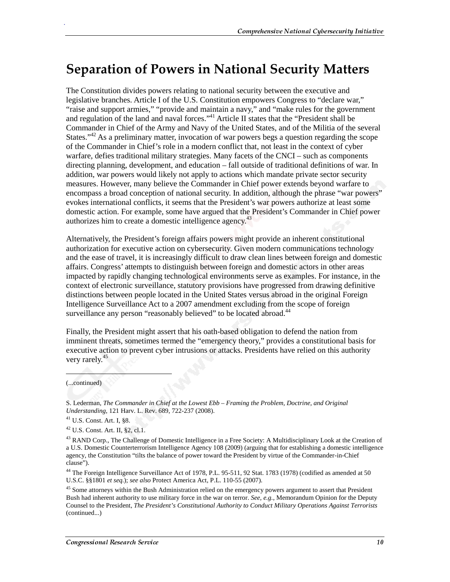#### Separation of Powers in National Security Matters

The Constitution divides powers relating to national security between the executive and legislative branches. Article I of the U.S. Constitution empowers Congress to "declare war," "raise and support armies," "provide and maintain a navy," and "make rules for the government and regulation of the land and naval forces."<sup>41</sup> Article II states that the "President shall be Commander in Chief of the Army and Navy of the United States, and of the Militia of the several States."<sup>42</sup> As a preliminary matter, invocation of war powers begs a question regarding the scope of the Commander in Chief's role in a modern conflict that, not least in the context of cyber warfare, defies traditional military strategies. Many facets of the CNCI – such as components directing planning, development, and education – fall outside of traditional definitions of war. In addition, war powers would likely not apply to actions which mandate private sector security measures. However, many believe the Commander in Chief power extends beyond warfare to encompass a broad conception of national security. In addition, although the phrase "war powers" evokes international conflicts, it seems that the President's war powers authorize at least some domestic action. For example, some have argued that the President's Commander in Chief power authorizes him to create a domestic intelligence agency.<sup>43</sup>

Alternatively, the President's foreign affairs powers might provide an inherent constitutional authorization for executive action on cybersecurity. Given modern communications technology and the ease of travel, it is increasingly difficult to draw clean lines between foreign and domestic affairs. Congress' attempts to distinguish between foreign and domestic actors in other areas impacted by rapidly changing technological environments serve as examples. For instance, in the context of electronic surveillance, statutory provisions have progressed from drawing definitive distinctions between people located in the United States versus abroad in the original Foreign Intelligence Surveillance Act to a 2007 amendment excluding from the scope of foreign surveillance any person "reasonably believed" to be located abroad.<sup>44</sup>

Finally, the President might assert that his oath-based obligation to defend the nation from imminent threats, sometimes termed the "emergency theory," provides a constitutional basis for executive action to prevent cyber intrusions or attacks. Presidents have relied on this authority very rarely.<sup>45</sup>

(...continued)

l

S. Lederman, *The Commander in Chief at the Lowest Ebb – Framing the Problem, Doctrine, and Original Understanding*, 121 Harv. L. Rev. 689, 722-237 (2008).

<sup>41</sup> U.S. Const. Art. I, §8.

<sup>42</sup> U.S. Const. Art. II, §2, cl.1.

<sup>&</sup>lt;sup>43</sup> RAND Corp., The Challenge of Domestic Intelligence in a Free Society: A Multidisciplinary Look at the Creation of a U.S. Domestic Counterterrorism Intelligence Agency 108 (2009) (arguing that for establishing a domestic intelligence agency, the Constitution "tilts the balance of power toward the President by virtue of the Commander-in-Chief clause").

<sup>&</sup>lt;sup>44</sup> The Foreign Intelligence Surveillance Act of 1978, P.L. 95-511, 92 Stat. 1783 (1978) (codified as amended at 50 U.S.C. §§1801 *et seq*.); *see also* Protect America Act, P.L. 110-55 (2007).

<sup>&</sup>lt;sup>45</sup> Some attorneys within the Bush Administration relied on the emergency powers argument to assert that President Bush had inherent authority to use military force in the war on terror. *See, e.g.*, Memorandum Opinion for the Deputy Counsel to the President, *The President's Constitutional Authority to Conduct Military Operations Against Terrorists*  (continued...)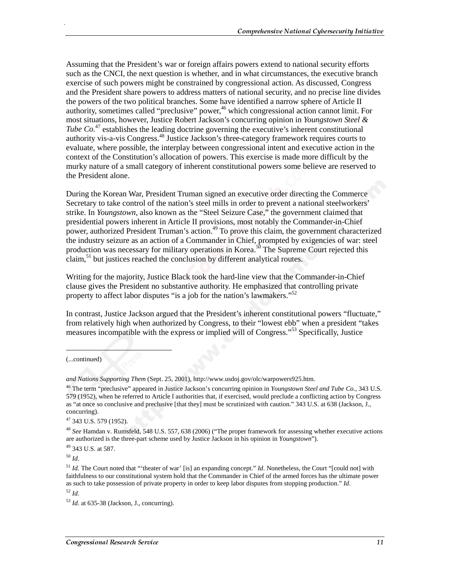Assuming that the President's war or foreign affairs powers extend to national security efforts such as the CNCI, the next question is whether, and in what circumstances, the executive branch exercise of such powers might be constrained by congressional action. As discussed, Congress and the President share powers to address matters of national security, and no precise line divides the powers of the two political branches. Some have identified a narrow sphere of Article II authority, sometimes called "preclusive" power,<sup>46</sup> which congressional action cannot limit. For most situations, however, Justice Robert Jackson's concurring opinion in *Youngstown Steel & Tube Co.*<sup>47</sup> establishes the leading doctrine governing the executive's inherent constitutional authority vis-a-vis Congress.48 Justice Jackson's three-category framework requires courts to evaluate, where possible, the interplay between congressional intent and executive action in the context of the Constitution's allocation of powers. This exercise is made more difficult by the murky nature of a small category of inherent constitutional powers some believe are reserved to the President alone.

During the Korean War, President Truman signed an executive order directing the Commerce Secretary to take control of the nation's steel mills in order to prevent a national steelworkers' strike. In *Youngstown*, also known as the "Steel Seizure Case," the government claimed that presidential powers inherent in Article II provisions, most notably the Commander-in-Chief power, authorized President Truman's action.<sup>49</sup> To prove this claim, the government characterized the industry seizure as an action of a Commander in Chief, prompted by exigencies of war: steel production was necessary for military operations in Korea.<sup>50</sup> The Supreme Court rejected this claim,<sup>51</sup> but justices reached the conclusion by different analytical routes.

Writing for the majority, Justice Black took the hard-line view that the Commander-in-Chief clause gives the President no substantive authority. He emphasized that controlling private property to affect labor disputes "is a job for the nation's lawmakers."<sup>52</sup>

In contrast, Justice Jackson argued that the President's inherent constitutional powers "fluctuate," from relatively high when authorized by Congress, to their "lowest ebb" when a president "takes measures incompatible with the express or implied will of Congress."53 Specifically, Justice

j

.

49 343 U.S. at 587.

<sup>50</sup> *Id*.

<sup>51</sup> *Id*. The Court noted that "'theater of war' [is] an expanding concept." *Id*. Nonetheless, the Court "[could not] with faithfulness to our constitutional system hold that the Commander in Chief of the armed forces has the ultimate power as such to take possession of private property in order to keep labor disputes from stopping production." *Id*.

<sup>52</sup> *Id*.

<sup>(...</sup>continued)

*and Nations Supporting Them* (Sept. 25, 2001), http://www.usdoj.gov/olc/warpowers925.htm.

<sup>46</sup> The term "preclusive" appeared in Justice Jackson's concurring opinion in *Youngstown Steel and Tube Co.*, 343 U.S. 579 (1952), when he referred to Article I authorities that, if exercised, would preclude a conflicting action by Congress as "at once so conclusive and preclusive [that they] must be scrutinized with caution." 343 U.S. at 638 (Jackson, J., concurring).

<sup>47 343</sup> U.S. 579 (1952).

<sup>48</sup> *See* Hamdan v. Rumsfeld, 548 U.S. 557, 638 (2006) ("The proper framework for assessing whether executive actions are authorized is the three-part scheme used by Justice Jackson in his opinion in *Youngstown*").

<sup>53</sup> *Id*. at 635-38 (Jackson, J., concurring).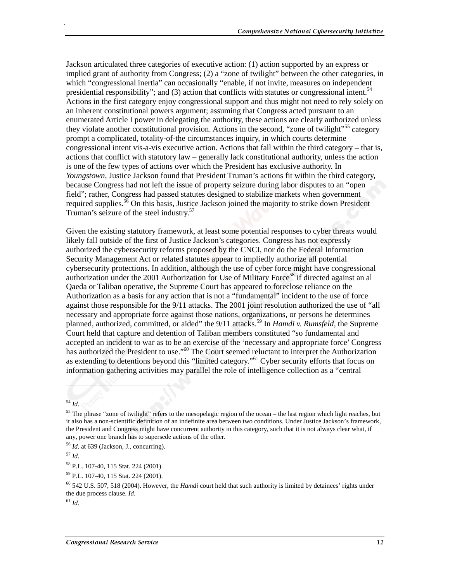Jackson articulated three categories of executive action: (1) action supported by an express or implied grant of authority from Congress; (2) a "zone of twilight" between the other categories, in which "congressional inertia" can occasionally "enable, if not invite, measures on independent presidential responsibility"; and  $(3)$  action that conflicts with statutes or congressional intent.<sup>54</sup> Actions in the first category enjoy congressional support and thus might not need to rely solely on an inherent constitutional powers argument; assuming that Congress acted pursuant to an enumerated Article I power in delegating the authority, these actions are clearly authorized unless they violate another constitutional provision. Actions in the second, "zone of twilight"<sup>55</sup> category prompt a complicated, totality-of-the circumstances inquiry, in which courts determine congressional intent vis-a-vis executive action. Actions that fall within the third category – that is, actions that conflict with statutory law – generally lack constitutional authority, unless the action is one of the few types of actions over which the President has exclusive authority. In *Youngstown*, Justice Jackson found that President Truman's actions fit within the third category, because Congress had not left the issue of property seizure during labor disputes to an "open field"; rather, Congress had passed statutes designed to stabilize markets when government required supplies.<sup>56</sup> On this basis, Justice Jackson joined the majority to strike down President Truman's seizure of the steel industry.57

Given the existing statutory framework, at least some potential responses to cyber threats would likely fall outside of the first of Justice Jackson's categories. Congress has not expressly authorized the cybersecurity reforms proposed by the CNCI, nor do the Federal Information Security Management Act or related statutes appear to impliedly authorize all potential cybersecurity protections. In addition, although the use of cyber force might have congressional authorization under the 2001 Authorization for Use of Military Force<sup>58</sup> if directed against an al Qaeda or Taliban operative, the Supreme Court has appeared to foreclose reliance on the Authorization as a basis for any action that is not a "fundamental" incident to the use of force against those responsible for the 9/11 attacks. The 2001 joint resolution authorized the use of "all necessary and appropriate force against those nations, organizations, or persons he determines planned, authorized, committed, or aided" the 9/11 attacks.<sup>59</sup> In *Hamdi v. Rumsfeld*, the Supreme Court held that capture and detention of Taliban members constituted "so fundamental and accepted an incident to war as to be an exercise of the 'necessary and appropriate force' Congress has authorized the President to use."<sup>60</sup> The Court seemed reluctant to interpret the Authorization as extending to detentions beyond this "limited category."61 Cyber security efforts that focus on information gathering activities may parallel the role of intelligence collection as a "central

 $\overline{1}$ 

<sup>54</sup> *Id*.

<sup>&</sup>lt;sup>55</sup> The phrase "zone of twilight" refers to the mesopelagic region of the ocean – the last region which light reaches, but it also has a non-scientific definition of an indefinite area between two conditions. Under Justice Jackson's framework, the President and Congress might have concurrent authority in this category, such that it is not always clear what, if any, power one branch has to supersede actions of the other.

<sup>56</sup> *Id*. at 639 (Jackson, J., concurring).

<sup>57</sup> *Id*.

<sup>58</sup> P.L. 107-40, 115 Stat. 224 (2001).

<sup>59</sup> P.L. 107-40, 115 Stat. 224 (2001).

<sup>60 542</sup> U.S. 507, 518 (2004). However, the *Hamdi* court held that such authority is limited by detainees' rights under the due process clause. *Id*.

 $^{61}$  *Id.*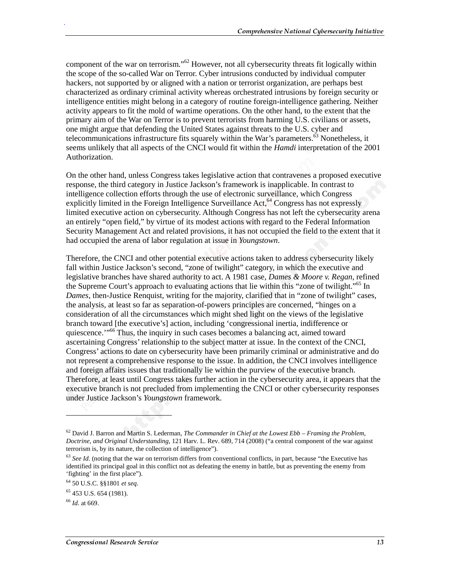component of the war on terrorism."<sup>62</sup> However, not all cybersecurity threats fit logically within the scope of the so-called War on Terror. Cyber intrusions conducted by individual computer hackers, not supported by or aligned with a nation or terrorist organization, are perhaps best characterized as ordinary criminal activity whereas orchestrated intrusions by foreign security or intelligence entities might belong in a category of routine foreign-intelligence gathering. Neither activity appears to fit the mold of wartime operations. On the other hand, to the extent that the primary aim of the War on Terror is to prevent terrorists from harming U.S. civilians or assets, one might argue that defending the United States against threats to the U.S. cyber and telecommunications infrastructure fits squarely within the War's parameters.<sup>63</sup> Nonetheless, it seems unlikely that all aspects of the CNCI would fit within the *Hamdi* interpretation of the 2001 Authorization.

On the other hand, unless Congress takes legislative action that contravenes a proposed executive response, the third category in Justice Jackson's framework is inapplicable. In contrast to intelligence collection efforts through the use of electronic surveillance, which Congress explicitly limited in the Foreign Intelligence Surveillance Act,  $64$  Congress has not expressly limited executive action on cybersecurity. Although Congress has not left the cybersecurity arena an entirely "open field," by virtue of its modest actions with regard to the Federal Information Security Management Act and related provisions, it has not occupied the field to the extent that it had occupied the arena of labor regulation at issue in *Youngstown*.

Therefore, the CNCI and other potential executive actions taken to address cybersecurity likely fall within Justice Jackson's second, "zone of twilight" category, in which the executive and legislative branches have shared authority to act. A 1981 case, *Dames & Moore v. Regan*, refined the Supreme Court's approach to evaluating actions that lie within this "zone of twilight."<sup>65</sup> In *Dames*, then-Justice Renquist, writing for the majority, clarified that in "zone of twilight" cases, the analysis, at least so far as separation-of-powers principles are concerned, "hinges on a consideration of all the circumstances which might shed light on the views of the legislative branch toward [the executive's] action, including 'congressional inertia, indifference or quiescence."<sup>66</sup> Thus, the inquiry in such cases becomes a balancing act, aimed toward ascertaining Congress' relationship to the subject matter at issue. In the context of the CNCI, Congress' actions to date on cybersecurity have been primarily criminal or administrative and do not represent a comprehensive response to the issue. In addition, the CNCI involves intelligence and foreign affairs issues that traditionally lie within the purview of the executive branch. Therefore, at least until Congress takes further action in the cybersecurity area, it appears that the executive branch is not precluded from implementing the CNCI or other cybersecurity responses under Justice Jackson's *Youngstown* framework.

 $\overline{a}$ 

<sup>62</sup> David J. Barron and Martin S. Lederman, *The Commander in Chief at the Lowest Ebb – Framing the Problem, Doctrine, and Original Understanding*, 121 Harv. L. Rev. 689, 714 (2008) ("a central component of the war against terrorism is, by its nature, the collection of intelligence").

<sup>&</sup>lt;sup>63</sup> See Id. (noting that the war on terrorism differs from conventional conflicts, in part, because "the Executive has identified its principal goal in this conflict not as defeating the enemy in battle, but as preventing the enemy from 'fighting' in the first place").

<sup>64 50</sup> U.S.C. §§1801 *et seq*.

<sup>65 453</sup> U.S. 654 (1981).

<sup>66</sup> *Id*. at 669.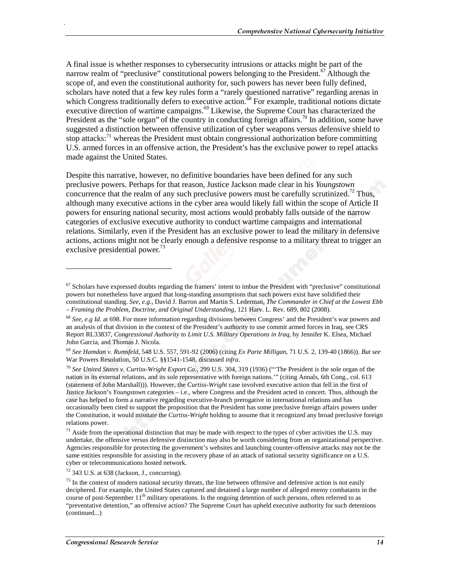A final issue is whether responses to cybersecurity intrusions or attacks might be part of the narrow realm of "preclusive" constitutional powers belonging to the President.<sup>67</sup> Although the scope of, and even the constitutional authority for, such powers has never been fully defined, scholars have noted that a few key rules form a "rarely questioned narrative" regarding arenas in which Congress traditionally defers to executive action.<sup>68</sup> For example, traditional notions dictate executive direction of wartime campaigns.<sup>69</sup> Likewise, the Supreme Court has characterized the President as the "sole organ" of the country in conducting foreign affairs.<sup>70</sup> In addition, some have suggested a distinction between offensive utilization of cyber weapons versus defensive shield to stop attacks:<sup>71</sup> whereas the President must obtain congressional authorization before committing U.S. armed forces in an offensive action, the President's has the exclusive power to repel attacks made against the United States.

Despite this narrative, however, no definitive boundaries have been defined for any such preclusive powers. Perhaps for that reason, Justice Jackson made clear in his *Youngstown* concurrence that the realm of any such preclusive powers must be carefully scrutinized.<sup>72</sup> Thus, although many executive actions in the cyber area would likely fall within the scope of Article II powers for ensuring national security, most actions would probably falls outside of the narrow categories of exclusive executive authority to conduct wartime campaigns and international relations. Similarly, even if the President has an exclusive power to lead the military in defensive actions, actions might not be clearly enough a defensive response to a military threat to trigger an exclusive presidential power.<sup>73</sup>

 $\overline{a}$ 

 $67$  Scholars have expressed doubts regarding the framers' intent to imbue the President with "preclusive" constitutional powers but nonetheless have argued that long-standing assumptions that such powers exist have solidified their constitutional standing. *See, e.g.*, David J. Barron and Martin S. Lederman, *The Commander in Chief at the Lowest Ebb – Framing the Problem, Doctrine, and Original Understanding*, 121 Harv. L. Rev. 689, 802 (2008).

<sup>68</sup> *See, e.g Id*. at 698. For more information regarding divisions between Congress' and the President's war powers and an analysis of that division in the context of the President's authority to use commit armed forces in Iraq, see CRS Report RL33837, *Congressional Authority to Limit U.S. Military Operations in Iraq*, by Jennifer K. Elsea, Michael John Garcia, and Thomas J. Nicola.

<sup>69</sup> *See Hamdan v. Rumsfeld*, 548 U.S. 557, 591-92 (2006) (citing *Ex Parte Milligan*, 71 U.S. 2, 139-40 (1866)). *But see*  War Powers Resolution, 50 U.S.C. §§1541-1548, discussed *infra*.

<sup>70</sup> *See United States v. Curtiss-Wright Export Co.*, 299 U.S. 304, 319 (1936) ("'The President is the sole organ of the nation in its external relations, and its sole representative with foreign nations.'" (citing Annals, 6th Cong., col. 613 (statement of John Marshall))). However, the *Curtiss-Wright* case involved executive action that fell in the first of Justice Jackson's *Youngstown* categories – i.e., where Congress and the President acted in concert. Thus, although the case has helped to form a narrative regarding executive-branch prerogative in international relations and has occasionally been cited to support the proposition that the President has some preclusive foreign affairs powers under the Constitution, it would misstate the *Curtiss-Wright* holding to assume that it recognized any broad preclusive foreign relations power.

 $71$  Aside from the operational distinction that may be made with respect to the types of cyber activities the U.S. may undertake, the offensive versus defensive distinction may also be worth considering from an organizational perspective. Agencies responsible for protecting the government's websites and launching counter-offensive attacks may not be the same entities responsible for assisting in the recovery phase of an attack of national security significance on a U.S. cyber or telecommunications hosted network.

 $72$  343 U.S. at 638 (Jackson, J., concurring).

 $^{73}$  In the context of modern national security threats, the line between offensive and defensive action is not easily deciphered. For example, the United States captured and detained a large number of alleged enemy combatants in the course of post-September  $11<sup>th</sup>$  military operations. Is the ongoing detention of such persons, often referred to as "preventative detention," an offensive action? The Supreme Court has upheld executive authority for such detentions (continued...)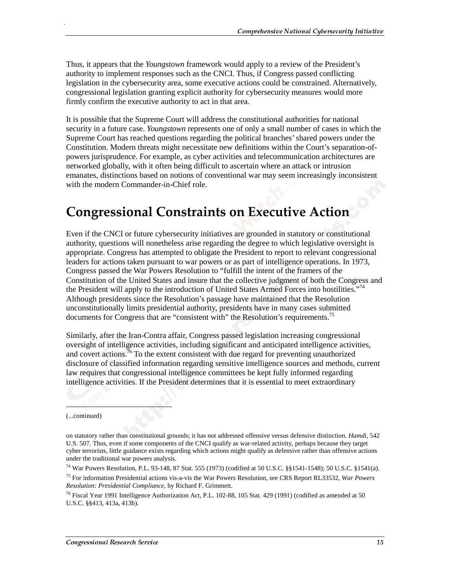Thus, it appears that the *Youngstown* framework would apply to a review of the President's authority to implement responses such as the CNCI. Thus, if Congress passed conflicting legislation in the cybersecurity area, some executive actions could be constrained. Alternatively, congressional legislation granting explicit authority for cybersecurity measures would more firmly confirm the executive authority to act in that area.

It is possible that the Supreme Court will address the constitutional authorities for national security in a future case. *Youngstown* represents one of only a small number of cases in which the Supreme Court has reached questions regarding the political branches' shared powers under the Constitution. Modern threats might necessitate new definitions within the Court's separation-ofpowers jurisprudence. For example, as cyber activities and telecommunication architectures are networked globally, with it often being difficult to ascertain where an attack or intrusion emanates, distinctions based on notions of conventional war may seem increasingly inconsistent with the modern Commander-in-Chief role.

#### **Congressional Constraints on Executive Action**

Even if the CNCI or future cybersecurity initiatives are grounded in statutory or constitutional authority, questions will nonetheless arise regarding the degree to which legislative oversight is appropriate. Congress has attempted to obligate the President to report to relevant congressional leaders for actions taken pursuant to war powers or as part of intelligence operations. In 1973, Congress passed the War Powers Resolution to "fulfill the intent of the framers of the Constitution of the United States and insure that the collective judgment of both the Congress and the President will apply to the introduction of United States Armed Forces into hostilities."<sup>74</sup> Although presidents since the Resolution's passage have maintained that the Resolution unconstitutionally limits presidential authority, presidents have in many cases submitted documents for Congress that are "consistent with" the Resolution's requirements.<sup>75</sup>

Similarly, after the Iran-Contra affair, Congress passed legislation increasing congressional oversight of intelligence activities, including significant and anticipated intelligence activities, and covert actions.<sup>76</sup> To the extent consistent with due regard for preventing unauthorized disclosure of classified information regarding sensitive intelligence sources and methods, current law requires that congressional intelligence committees be kept fully informed regarding intelligence activities. If the President determines that it is essential to meet extraordinary

(...continued)

 $\overline{a}$ 

on statutory rather than constitutional grounds; it has not addressed offensive versus defensive distinction. *Hamdi*, 542 U.S. 507. Thus, even if some components of the CNCI qualify as war-related activity, perhaps because they target cyber terrorists, little guidance exists regarding which actions might qualify as defensive rather than offensive actions under the traditional war powers analysis.

<sup>74</sup> War Powers Resolution, P.L. 93-148, 87 Stat. 555 (1973) (codified at 50 U.S.C. §§1541-1548); 50 U.S.C. §1541(a).

<sup>75</sup> For information Presidential actions vis-a-vis the War Powers Resolution, see CRS Report RL33532, *War Powers Resolution: Presidential Compliance*, by Richard F. Grimmett.

<sup>&</sup>lt;sup>76</sup> Fiscal Year 1991 Intelligence Authorization Act, P.L. 102-88, 105 Stat. 429 (1991) (codified as amended at 50 U.S.C. §§413, 413a, 413b).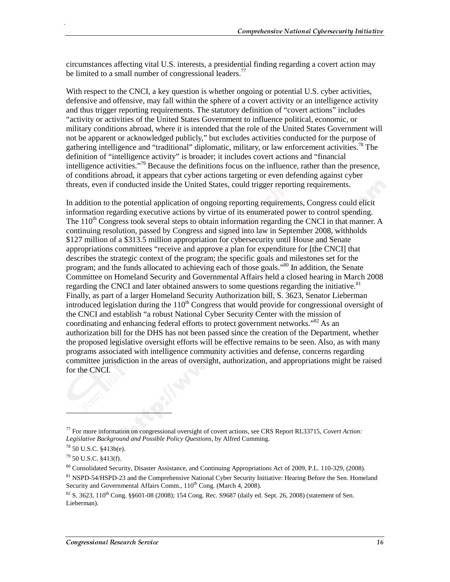circumstances affecting vital U.S. interests, a presidential finding regarding a covert action may be limited to a small number of congressional leaders.<sup>77</sup>

With respect to the CNCI, a key question is whether ongoing or potential U.S. cyber activities, defensive and offensive, may fall within the sphere of a covert activity or an intelligence activity and thus trigger reporting requirements. The statutory definition of "covert actions" includes "activity or activities of the United States Government to influence political, economic, or military conditions abroad, where it is intended that the role of the United States Government will not be apparent or acknowledged publicly," but excludes activities conducted for the purpose of gathering intelligence and "traditional" diplomatic, military, or law enforcement activities.<sup>78</sup> The definition of "intelligence activity" is broader; it includes covert actions and "financial intelligence activities."<sup>79</sup> Because the definitions focus on the influence, rather than the presence, of conditions abroad, it appears that cyber actions targeting or even defending against cyber threats, even if conducted inside the United States, could trigger reporting requirements.

In addition to the potential application of ongoing reporting requirements, Congress could elicit information regarding executive actions by virtue of its enumerated power to control spending. The  $110^{th}$  Congress took several steps to obtain information regarding the CNCI in that manner. A continuing resolution, passed by Congress and signed into law in September 2008, withholds \$127 million of a \$313.5 million appropriation for cybersecurity until House and Senate appropriations committees "receive and approve a plan for expenditure for [the CNCI] that describes the strategic context of the program; the specific goals and milestones set for the program; and the funds allocated to achieving each of those goals."<sup>80</sup> In addition, the Senate Committee on Homeland Security and Governmental Affairs held a closed hearing in March 2008 regarding the CNCI and later obtained answers to some questions regarding the initiative.<sup>81</sup> Finally, as part of a larger Homeland Security Authorization bill, S. 3623, Senator Lieberman introduced legislation during the  $110<sup>th</sup>$  Congress that would provide for congressional oversight of the CNCI and establish "a robust National Cyber Security Center with the mission of coordinating and enhancing federal efforts to protect government networks."82 As an authorization bill for the DHS has not been passed since the creation of the Department, whether the proposed legislative oversight efforts will be effective remains to be seen. Also, as with many programs associated with intelligence community activities and defense, concerns regarding committee jurisdiction in the areas of oversight, authorization, and appropriations might be raised for the CNCI.

 $\overline{a}$ 

<sup>77</sup> For more information on congressional oversight of covert actions, see CRS Report RL33715, *Covert Action: Legislative Background and Possible Policy Questions*, by Alfred Cumming.

<sup>78 50</sup> U.S.C. §413b(e).

 $79$  50 U.S.C. §413(f).

<sup>80</sup> Consolidated Security, Disaster Assistance, and Continuing Appropriations Act of 2009, P.L. 110-329, (2008).

<sup>&</sup>lt;sup>81</sup> NSPD-54/HSPD-23 and the Comprehensive National Cyber Security Initiative: Hearing Before the Sen. Homeland Security and Governmental Affairs Comm., 110<sup>th</sup> Cong. (March 4, 2008).

<sup>82</sup> S. 3623, 110<sup>th</sup> Cong. §§601-08 (2008); 154 Cong. Rec. S9687 (daily ed. Sept. 26, 2008) (statement of Sen. Lieberman).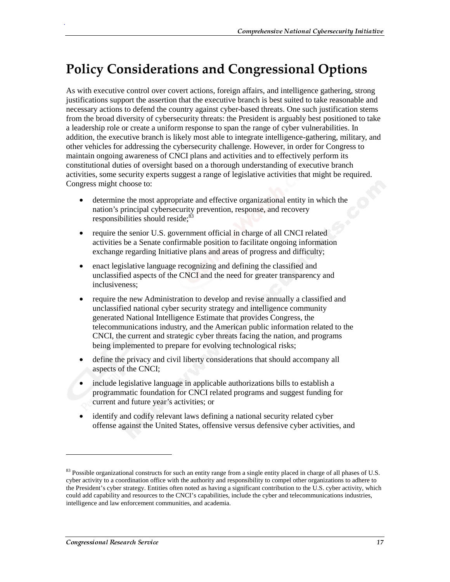### Policy Considerations and Congressional Options

As with executive control over covert actions, foreign affairs, and intelligence gathering, strong justifications support the assertion that the executive branch is best suited to take reasonable and necessary actions to defend the country against cyber-based threats. One such justification stems from the broad diversity of cybersecurity threats: the President is arguably best positioned to take a leadership role or create a uniform response to span the range of cyber vulnerabilities. In addition, the executive branch is likely most able to integrate intelligence-gathering, military, and other vehicles for addressing the cybersecurity challenge. However, in order for Congress to maintain ongoing awareness of CNCI plans and activities and to effectively perform its constitutional duties of oversight based on a thorough understanding of executive branch activities, some security experts suggest a range of legislative activities that might be required. Congress might choose to:

- determine the most appropriate and effective organizational entity in which the nation's principal cybersecurity prevention, response, and recovery responsibilities should reside;<sup>83</sup>
- require the senior U.S. government official in charge of all CNCI related activities be a Senate confirmable position to facilitate ongoing information exchange regarding Initiative plans and areas of progress and difficulty;
- enact legislative language recognizing and defining the classified and unclassified aspects of the CNCI and the need for greater transparency and inclusiveness;
- require the new Administration to develop and revise annually a classified and unclassified national cyber security strategy and intelligence community generated National Intelligence Estimate that provides Congress, the telecommunications industry, and the American public information related to the CNCI, the current and strategic cyber threats facing the nation, and programs being implemented to prepare for evolving technological risks;
- define the privacy and civil liberty considerations that should accompany all aspects of the CNCI;
- include legislative language in applicable authorizations bills to establish a programmatic foundation for CNCI related programs and suggest funding for current and future year's activities; or
- identify and codify relevant laws defining a national security related cyber offense against the United States, offensive versus defensive cyber activities, and

 $\overline{a}$ 

<sup>&</sup>lt;sup>83</sup> Possible organizational constructs for such an entity range from a single entity placed in charge of all phases of U.S. cyber activity to a coordination office with the authority and responsibility to compel other organizations to adhere to the President's cyber strategy. Entities often noted as having a significant contribution to the U.S. cyber activity, which could add capability and resources to the CNCI's capabilities, include the cyber and telecommunications industries, intelligence and law enforcement communities, and academia.